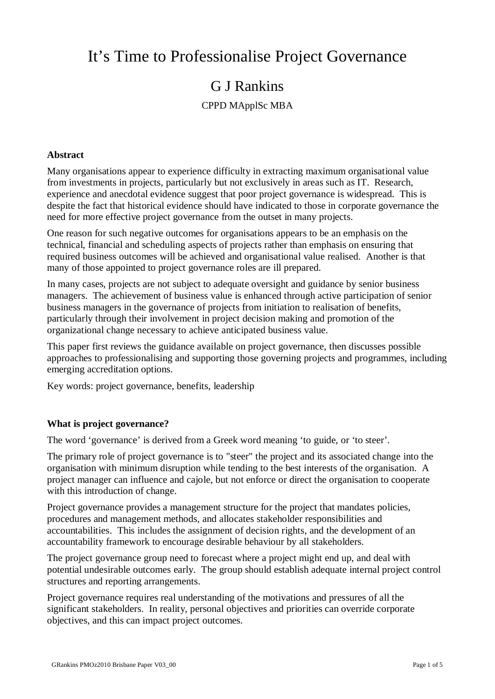# It's Time to Professionalise Project Governance

## G J Rankins

## CPPD MApplSc MBA

### **Abstract**

Many organisations appear to experience difficulty in extracting maximum organisational value from investments in projects, particularly but not exclusively in areas such as IT. Research, experience and anecdotal evidence suggest that poor project governance is widespread. This is despite the fact that historical evidence should have indicated to those in corporate governance the need for more effective project governance from the outset in many projects.

One reason for such negative outcomes for organisations appears to be an emphasis on the technical, financial and scheduling aspects of projects rather than emphasis on ensuring that required business outcomes will be achieved and organisational value realised. Another is that many of those appointed to project governance roles are ill prepared.

In many cases, projects are not subject to adequate oversight and guidance by senior business managers. The achievement of business value is enhanced through active participation of senior business managers in the governance of projects from initiation to realisation of benefits, particularly through their involvement in project decision making and promotion of the organizational change necessary to achieve anticipated business value.

This paper first reviews the guidance available on project governance, then discusses possible approaches to professionalising and supporting those governing projects and programmes, including emerging accreditation options.

Key words: project governance, benefits, leadership

### **What is project governance?**

The word 'governance' is derived from a Greek word meaning 'to guide, or 'to steer'.

The primary role of project governance is to "steer" the project and its associated change into the organisation with minimum disruption while tending to the best interests of the organisation. A project manager can influence and cajole, but not enforce or direct the organisation to cooperate with this introduction of change.

Project governance provides a management structure for the project that mandates policies, procedures and management methods, and allocates stakeholder responsibilities and accountabilities. This includes the assignment of decision rights, and the development of an accountability framework to encourage desirable behaviour by all stakeholders.

The project governance group need to forecast where a project might end up, and deal with potential undesirable outcomes early. The group should establish adequate internal project control structures and reporting arrangements.

Project governance requires real understanding of the motivations and pressures of all the significant stakeholders. In reality, personal objectives and priorities can override corporate objectives, and this can impact project outcomes.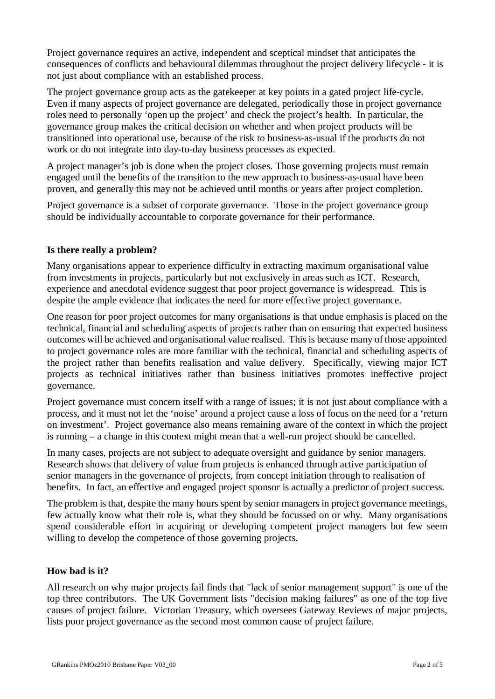Project governance requires an active, independent and sceptical mindset that anticipates the consequences of conflicts and behavioural dilemmas throughout the project delivery lifecycle - it is not just about compliance with an established process.

The project governance group acts as the gatekeeper at key points in a gated project life-cycle. Even if many aspects of project governance are delegated, periodically those in project governance roles need to personally 'open up the project' and check the project's health. In particular, the governance group makes the critical decision on whether and when project products will be transitioned into operational use, because of the risk to business-as-usual if the products do not work or do not integrate into day-to-day business processes as expected.

A project manager's job is done when the project closes. Those governing projects must remain engaged until the benefits of the transition to the new approach to business-as-usual have been proven, and generally this may not be achieved until months or years after project completion.

Project governance is a subset of corporate governance. Those in the project governance group should be individually accountable to corporate governance for their performance.

### **Is there really a problem?**

Many organisations appear to experience difficulty in extracting maximum organisational value from investments in projects, particularly but not exclusively in areas such as ICT. Research, experience and anecdotal evidence suggest that poor project governance is widespread. This is despite the ample evidence that indicates the need for more effective project governance.

One reason for poor project outcomes for many organisations is that undue emphasis is placed on the technical, financial and scheduling aspects of projects rather than on ensuring that expected business outcomes will be achieved and organisational value realised. This is because many of those appointed to project governance roles are more familiar with the technical, financial and scheduling aspects of the project rather than benefits realisation and value delivery. Specifically, viewing major ICT projects as technical initiatives rather than business initiatives promotes ineffective project governance.

Project governance must concern itself with a range of issues; it is not just about compliance with a process, and it must not let the 'noise' around a project cause a loss of focus on the need for a 'return on investment'. Project governance also means remaining aware of the context in which the project is running – a change in this context might mean that a well-run project should be cancelled.

In many cases, projects are not subject to adequate oversight and guidance by senior managers. Research shows that delivery of value from projects is enhanced through active participation of senior managers in the governance of projects, from concept initiation through to realisation of benefits. In fact, an effective and engaged project sponsor is actually a predictor of project success.

The problem is that, despite the many hours spent by senior managers in project governance meetings, few actually know what their role is, what they should be focussed on or why. Many organisations spend considerable effort in acquiring or developing competent project managers but few seem willing to develop the competence of those governing projects.

## **How bad is it?**

All research on why major projects fail finds that "lack of senior management support" is one of the top three contributors. The UK Government lists "decision making failures" as one of the top five causes of project failure. Victorian Treasury, which oversees Gateway Reviews of major projects, lists poor project governance as the second most common cause of project failure.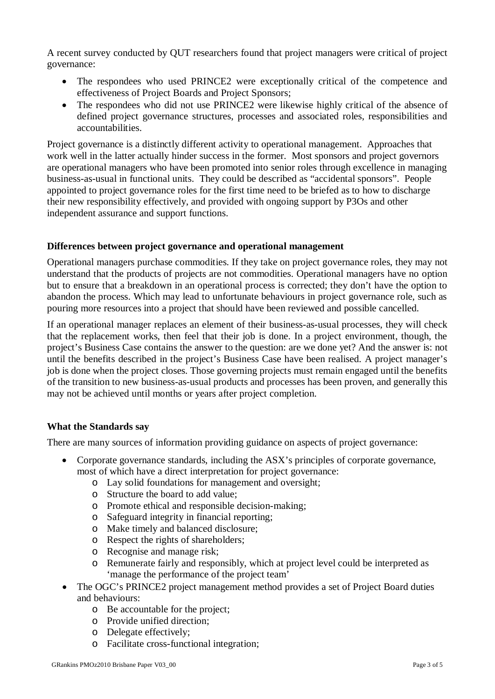A recent survey conducted by QUT researchers found that project managers were critical of project governance:

- The respondees who used PRINCE2 were exceptionally critical of the competence and effectiveness of Project Boards and Project Sponsors;
- The respondees who did not use PRINCE2 were likewise highly critical of the absence of defined project governance structures, processes and associated roles, responsibilities and accountabilities.

Project governance is a distinctly different activity to operational management. Approaches that work well in the latter actually hinder success in the former. Most sponsors and project governors are operational managers who have been promoted into senior roles through excellence in managing business-as-usual in functional units. They could be described as "accidental sponsors". People appointed to project governance roles for the first time need to be briefed as to how to discharge their new responsibility effectively, and provided with ongoing support by P3Os and other independent assurance and support functions.

### **Differences between project governance and operational management**

Operational managers purchase commodities. If they take on project governance roles, they may not understand that the products of projects are not commodities. Operational managers have no option but to ensure that a breakdown in an operational process is corrected; they don't have the option to abandon the process. Which may lead to unfortunate behaviours in project governance role, such as pouring more resources into a project that should have been reviewed and possible cancelled.

If an operational manager replaces an element of their business-as-usual processes, they will check that the replacement works, then feel that their job is done. In a project environment, though, the project's Business Case contains the answer to the question: are we done yet? And the answer is: not until the benefits described in the project's Business Case have been realised. A project manager's job is done when the project closes. Those governing projects must remain engaged until the benefits of the transition to new business-as-usual products and processes has been proven, and generally this may not be achieved until months or years after project completion.

## **What the Standards say**

There are many sources of information providing guidance on aspects of project governance:

- Corporate governance standards, including the ASX's principles of corporate governance, most of which have a direct interpretation for project governance:
	- o Lay solid foundations for management and oversight;
	- o Structure the board to add value;
	- o Promote ethical and responsible decision-making;
	- o Safeguard integrity in financial reporting;
	- o Make timely and balanced disclosure;
	- o Respect the rights of shareholders;
	- o Recognise and manage risk;
	- o Remunerate fairly and responsibly, which at project level could be interpreted as 'manage the performance of the project team'
- The OGC's PRINCE2 project management method provides a set of Project Board duties and behaviours:
	- o Be accountable for the project;
	- o Provide unified direction;
	- o Delegate effectively;
	- o Facilitate cross-functional integration;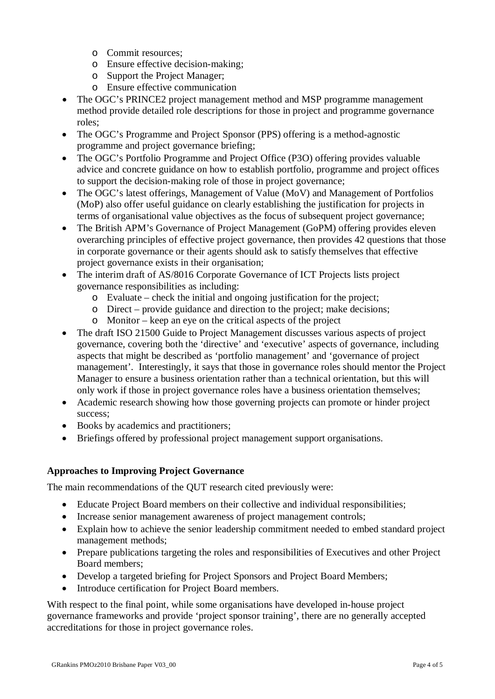- o Commit resources;
- o Ensure effective decision-making;
- o Support the Project Manager;
- o Ensure effective communication
- The OGC's PRINCE2 project management method and MSP programme management method provide detailed role descriptions for those in project and programme governance roles;
- The OGC's Programme and Project Sponsor (PPS) offering is a method-agnostic programme and project governance briefing;
- The OGC's Portfolio Programme and Project Office (P3O) offering provides valuable advice and concrete guidance on how to establish portfolio, programme and project offices to support the decision-making role of those in project governance;
- The OGC's latest offerings, Management of Value (MoV) and Management of Portfolios (MoP) also offer useful guidance on clearly establishing the justification for projects in terms of organisational value objectives as the focus of subsequent project governance;
- The British APM's Governance of Project Management (GoPM) offering provides eleven overarching principles of effective project governance, then provides 42 questions that those in corporate governance or their agents should ask to satisfy themselves that effective project governance exists in their organisation;
- The interim draft of AS/8016 Corporate Governance of ICT Projects lists project governance responsibilities as including:
	- o Evaluate check the initial and ongoing justification for the project;
	- o Direct provide guidance and direction to the project; make decisions;
	- o Monitor keep an eye on the critical aspects of the project
- The draft ISO 21500 Guide to Project Management discusses various aspects of project governance, covering both the 'directive' and 'executive' aspects of governance, including aspects that might be described as 'portfolio management' and 'governance of project management'. Interestingly, it says that those in governance roles should mentor the Project Manager to ensure a business orientation rather than a technical orientation, but this will only work if those in project governance roles have a business orientation themselves;
- Academic research showing how those governing projects can promote or hinder project success;
- Books by academics and practitioners;
- Briefings offered by professional project management support organisations.

## **Approaches to Improving Project Governance**

The main recommendations of the QUT research cited previously were:

- Educate Project Board members on their collective and individual responsibilities;
- Increase senior management awareness of project management controls;
- Explain how to achieve the senior leadership commitment needed to embed standard project management methods;
- Prepare publications targeting the roles and responsibilities of Executives and other Project Board members;
- Develop a targeted briefing for Project Sponsors and Project Board Members;
- Introduce certification for Project Board members.

With respect to the final point, while some organisations have developed in-house project governance frameworks and provide 'project sponsor training', there are no generally accepted accreditations for those in project governance roles.